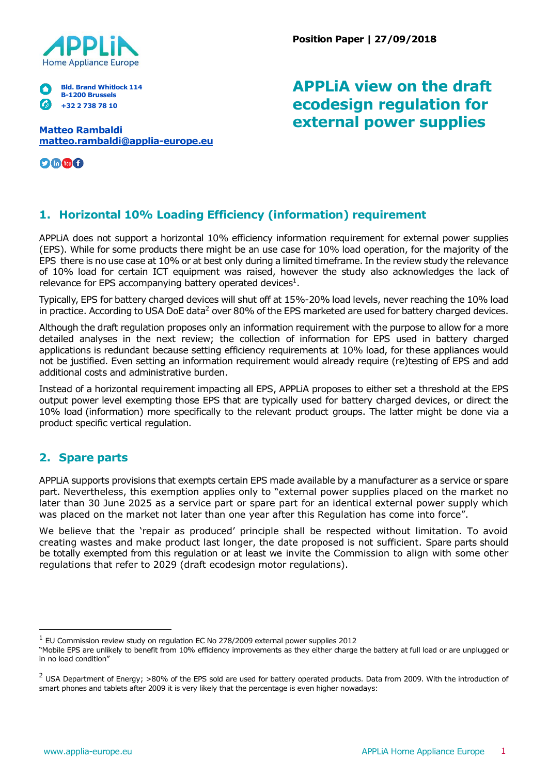

**Position Paper | 27/09/2018**

#### **Bld. Brand Whitlock 114 B-1200 Brussels +32 2 738 78 10**

**Matteo Rambaldi [matteo.rambaldi@applia-europe.eu](mailto:matteo.rambaldi@applia-europe.eu)**

0000

# **APPLiA view on the draft ecodesign regulation for external power supplies**

## **1. Horizontal 10% Loading Efficiency (information) requirement**

APPLiA does not support a horizontal 10% efficiency information requirement for external power supplies (EPS). While for some products there might be an use case for 10% load operation, for the majority of the EPS there is no use case at 10% or at best only during a limited timeframe. In the review study the relevance of 10% load for certain ICT equipment was raised, however the study also acknowledges the lack of relevance for EPS accompanying battery operated devices $^1$ .

Typically, EPS for battery charged devices will shut off at 15%-20% load levels, never reaching the 10% load in practice. According to USA DoE data<sup>2</sup> over 80% of the EPS marketed are used for battery charged devices.

Although the draft regulation proposes only an information requirement with the purpose to allow for a more detailed analyses in the next review; the collection of information for EPS used in battery charged applications is redundant because setting efficiency requirements at 10% load, for these appliances would not be justified. Even setting an information requirement would already require (re)testing of EPS and add additional costs and administrative burden.

Instead of a horizontal requirement impacting all EPS, APPLiA proposes to either set a threshold at the EPS output power level exempting those EPS that are typically used for battery charged devices, or direct the 10% load (information) more specifically to the relevant product groups. The latter might be done via a product specific vertical regulation.

#### **2. Spare parts**

APPLiA supports provisions that exempts certain EPS made available by a manufacturer as a service or spare part. Nevertheless, this exemption applies only to "external power supplies placed on the market no later than 30 June 2025 as a service part or spare part for an identical external power supply which was placed on the market not later than one year after this Regulation has come into force".

We believe that the 'repair as produced' principle shall be respected without limitation. To avoid creating wastes and make product last longer, the date proposed is not sufficient. Spare parts should be totally exempted from this regulation or at least we invite the Commission to align with some other regulations that refer to 2029 (draft ecodesign motor regulations).

<sup>&</sup>lt;sup>1</sup> EU Commission review study on regulation EC No 278/2009 external power supplies 2012

<sup>&</sup>quot;Mobile EPS are unlikely to benefit from 10% efficiency improvements as they either charge the battery at full load or are unplugged or in no load condition"

 $2$  USA Department of Energy; >80% of the EPS sold are used for battery operated products. Data from 2009. With the introduction of smart phones and tablets after 2009 it is very likely that the percentage is even higher nowadays: